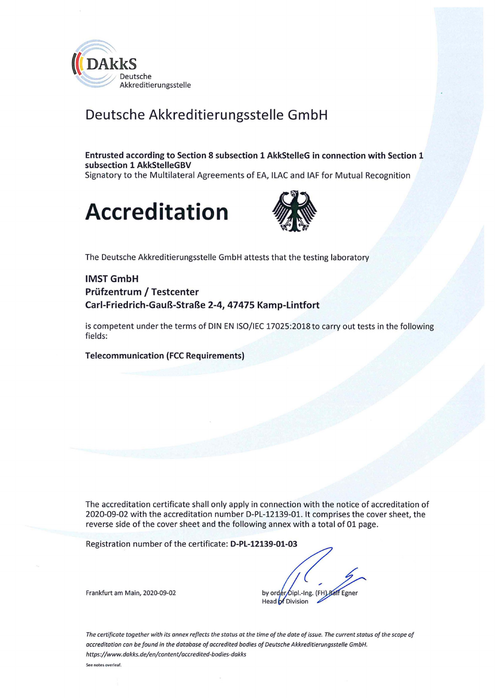

## **Deutsche Akkreditierungsstelle GmbH**

**Entrusted according to Section 8 subsection 1 AkkStelleG in connection with Section 1 subsection 1 AkkStelleGBV**  Signatory to the Multilateral Agreements of EA, ILAC and IAF for Mutual Recognition





The Deutsche Akkreditierungsstelle GmbH attests that the testing laboratory

#### **IMSTGmbH Prüfzentrum / Testcenter Carl-Friedrich-Gauß-Straße 2-4, 47475 Kamp-Lintfort**

is competent under the terms of DIN EN 150/IEC 17025:2018 to carry out tests in the following fields:

**Telecommunication (FCC Requirements)** 

The accreditation certificate shall only apply in connection with the notice of accreditation of 2020-09-02 with the accreditation number D-PL-12139-01. lt comprises the cover sheet, the reverse side of the cover sheet and the following annex with a total of 01 page.

Registration number of the certificate: **D-PL-12139-01-03** 

Frankfurt am Main, 2020-09-02<br>
by order Oipl.-Ing. (FH) Raff Egner<br>
Head of Division

*The certificate tagether with its annex reflects the status at the time af the date af issue. The current status of the scape of occreditation can be found in the database of accredited bodies of Deutsche Akkreditierungsstelle GmbH. https://www.dakks.de/en/content/accredited-bodies-dokks* 

**See notes overleaf.**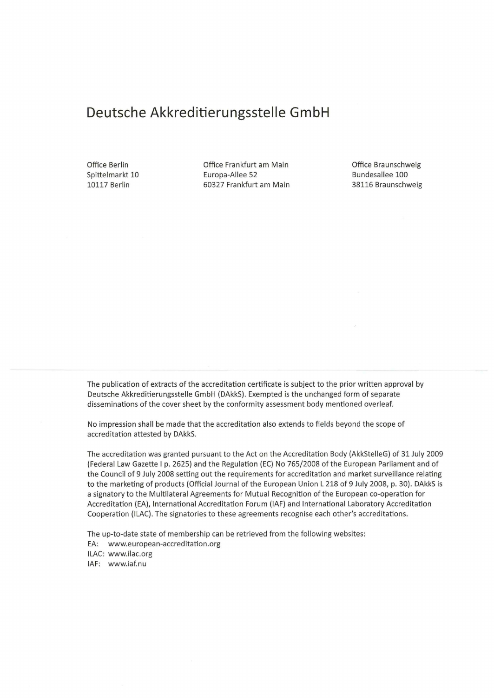### **Deutsche Akkreditierungsstelle GmbH**

Office Berlin Spittelmarkt 10 10117 Berlin

Office Frankfurt am Main Europa-Allee 52 60327 Frankfurt am Main Office Braunschweig Bundesallee 100 38116 Braunschweig

The publication of extracts of the accreditation certificate is subject to the prior written approval by Deutsche Akkreditierungsstelle GmbH (DAkkS). Exempted is the unchanged form of separate disseminations of the cover sheet by the conformity assessment body mentioned overleaf.

No impression shall be made that the accreditation also extends to fields beyond the scope of accreditation attested by DAkkS.

The accreditation was granted pursuant to the Act on the Accreditation Body (AkkStelleG) of 31 July 2009 (Federal Law Gazette 1 p. 2625) and the Regulation (EC) No 765/2008 of the European Parliament and of the Council of 9 July 2008 setting out the requirements for accreditation and market surveillance relating to the marketing of products (Official Journal of the European Union L 218 of 9 July 2008, p. 30). DAkkS is a signatory to the Multilateral Agreements for Mutual Recognition of the European co-operation for Accreditation (EA), International Accreditation Forum (IAF) and International Laboratory Accreditation Cooperation (ILAC). The signatories to these agreements recognise each other's accreditations.

The up-to-date state of membership can be retrieved from the following websites:

EA: www.european-accreditation.org

ILAC: www.ilac.org

IAF: www.iaf.nu